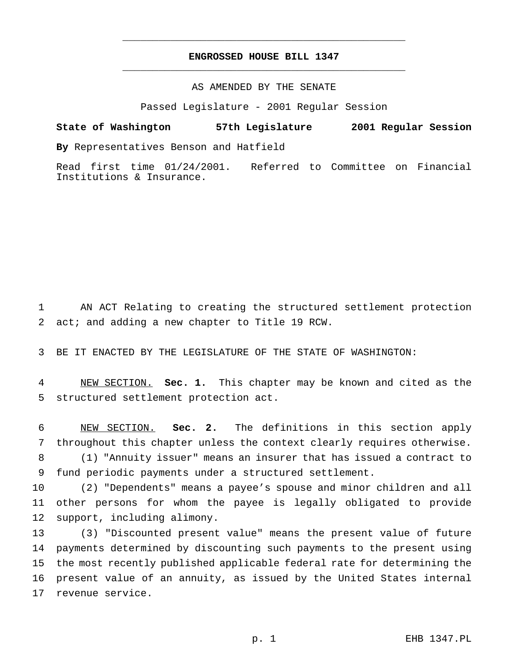## **ENGROSSED HOUSE BILL 1347** \_\_\_\_\_\_\_\_\_\_\_\_\_\_\_\_\_\_\_\_\_\_\_\_\_\_\_\_\_\_\_\_\_\_\_\_\_\_\_\_\_\_\_\_\_\_\_

\_\_\_\_\_\_\_\_\_\_\_\_\_\_\_\_\_\_\_\_\_\_\_\_\_\_\_\_\_\_\_\_\_\_\_\_\_\_\_\_\_\_\_\_\_\_\_

## AS AMENDED BY THE SENATE

Passed Legislature - 2001 Regular Session

## **State of Washington 57th Legislature 2001 Regular Session**

**By** Representatives Benson and Hatfield

Read first time 01/24/2001. Referred to Committee on Financial Institutions & Insurance.

 AN ACT Relating to creating the structured settlement protection act; and adding a new chapter to Title 19 RCW.

BE IT ENACTED BY THE LEGISLATURE OF THE STATE OF WASHINGTON:

 NEW SECTION. **Sec. 1.** This chapter may be known and cited as the structured settlement protection act.

 NEW SECTION. **Sec. 2.** The definitions in this section apply throughout this chapter unless the context clearly requires otherwise.

 (1) "Annuity issuer" means an insurer that has issued a contract to fund periodic payments under a structured settlement.

 (2) "Dependents" means a payee's spouse and minor children and all other persons for whom the payee is legally obligated to provide support, including alimony.

 (3) "Discounted present value" means the present value of future payments determined by discounting such payments to the present using the most recently published applicable federal rate for determining the present value of an annuity, as issued by the United States internal revenue service.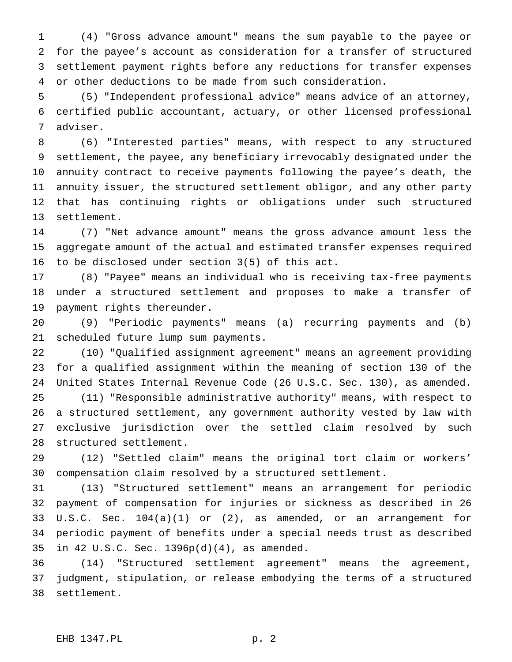(4) "Gross advance amount" means the sum payable to the payee or for the payee's account as consideration for a transfer of structured settlement payment rights before any reductions for transfer expenses or other deductions to be made from such consideration.

 (5) "Independent professional advice" means advice of an attorney, certified public accountant, actuary, or other licensed professional adviser.

 (6) "Interested parties" means, with respect to any structured settlement, the payee, any beneficiary irrevocably designated under the annuity contract to receive payments following the payee's death, the annuity issuer, the structured settlement obligor, and any other party that has continuing rights or obligations under such structured settlement.

 (7) "Net advance amount" means the gross advance amount less the aggregate amount of the actual and estimated transfer expenses required to be disclosed under section 3(5) of this act.

 (8) "Payee" means an individual who is receiving tax-free payments under a structured settlement and proposes to make a transfer of payment rights thereunder.

 (9) "Periodic payments" means (a) recurring payments and (b) scheduled future lump sum payments.

 (10) "Qualified assignment agreement" means an agreement providing for a qualified assignment within the meaning of section 130 of the United States Internal Revenue Code (26 U.S.C. Sec. 130), as amended. (11) "Responsible administrative authority" means, with respect to a structured settlement, any government authority vested by law with exclusive jurisdiction over the settled claim resolved by such structured settlement.

 (12) "Settled claim" means the original tort claim or workers' compensation claim resolved by a structured settlement.

 (13) "Structured settlement" means an arrangement for periodic payment of compensation for injuries or sickness as described in 26 U.S.C. Sec. 104(a)(1) or (2), as amended, or an arrangement for periodic payment of benefits under a special needs trust as described in 42 U.S.C. Sec. 1396p(d)(4), as amended.

 (14) "Structured settlement agreement" means the agreement, judgment, stipulation, or release embodying the terms of a structured settlement.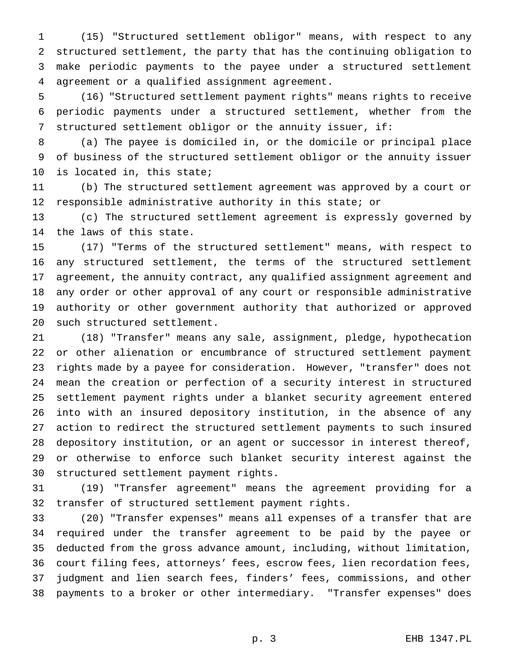(15) "Structured settlement obligor" means, with respect to any structured settlement, the party that has the continuing obligation to make periodic payments to the payee under a structured settlement agreement or a qualified assignment agreement.

 (16) "Structured settlement payment rights" means rights to receive periodic payments under a structured settlement, whether from the structured settlement obligor or the annuity issuer, if:

 (a) The payee is domiciled in, or the domicile or principal place of business of the structured settlement obligor or the annuity issuer is located in, this state;

 (b) The structured settlement agreement was approved by a court or responsible administrative authority in this state; or

 (c) The structured settlement agreement is expressly governed by the laws of this state.

 (17) "Terms of the structured settlement" means, with respect to any structured settlement, the terms of the structured settlement agreement, the annuity contract, any qualified assignment agreement and any order or other approval of any court or responsible administrative authority or other government authority that authorized or approved such structured settlement.

 (18) "Transfer" means any sale, assignment, pledge, hypothecation or other alienation or encumbrance of structured settlement payment rights made by a payee for consideration. However, "transfer" does not mean the creation or perfection of a security interest in structured settlement payment rights under a blanket security agreement entered into with an insured depository institution, in the absence of any action to redirect the structured settlement payments to such insured depository institution, or an agent or successor in interest thereof, or otherwise to enforce such blanket security interest against the structured settlement payment rights.

 (19) "Transfer agreement" means the agreement providing for a transfer of structured settlement payment rights.

 (20) "Transfer expenses" means all expenses of a transfer that are required under the transfer agreement to be paid by the payee or deducted from the gross advance amount, including, without limitation, court filing fees, attorneys' fees, escrow fees, lien recordation fees, judgment and lien search fees, finders' fees, commissions, and other payments to a broker or other intermediary. "Transfer expenses" does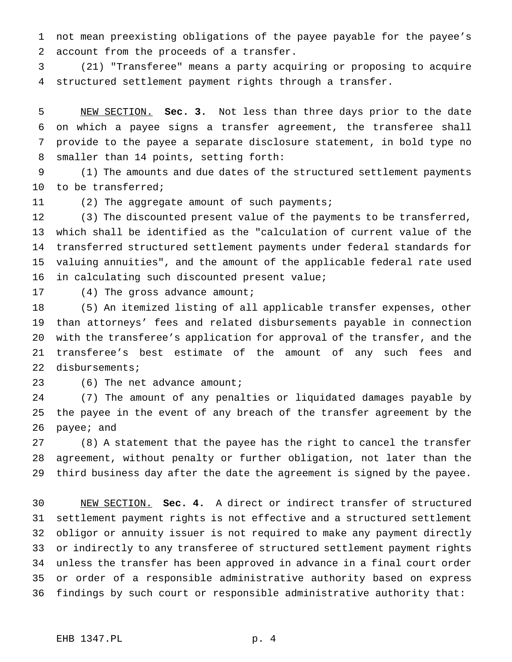not mean preexisting obligations of the payee payable for the payee's account from the proceeds of a transfer.

 (21) "Transferee" means a party acquiring or proposing to acquire structured settlement payment rights through a transfer.

 NEW SECTION. **Sec. 3.** Not less than three days prior to the date on which a payee signs a transfer agreement, the transferee shall provide to the payee a separate disclosure statement, in bold type no smaller than 14 points, setting forth:

 (1) The amounts and due dates of the structured settlement payments to be transferred;

11 (2) The aggregate amount of such payments;

 (3) The discounted present value of the payments to be transferred, which shall be identified as the "calculation of current value of the transferred structured settlement payments under federal standards for valuing annuities", and the amount of the applicable federal rate used 16 in calculating such discounted present value;

17 (4) The gross advance amount;

 (5) An itemized listing of all applicable transfer expenses, other than attorneys' fees and related disbursements payable in connection with the transferee's application for approval of the transfer, and the transferee's best estimate of the amount of any such fees and disbursements;

23 (6) The net advance amount;

 (7) The amount of any penalties or liquidated damages payable by the payee in the event of any breach of the transfer agreement by the payee; and

 (8) A statement that the payee has the right to cancel the transfer agreement, without penalty or further obligation, not later than the third business day after the date the agreement is signed by the payee.

 NEW SECTION. **Sec. 4.** A direct or indirect transfer of structured settlement payment rights is not effective and a structured settlement obligor or annuity issuer is not required to make any payment directly or indirectly to any transferee of structured settlement payment rights unless the transfer has been approved in advance in a final court order or order of a responsible administrative authority based on express findings by such court or responsible administrative authority that: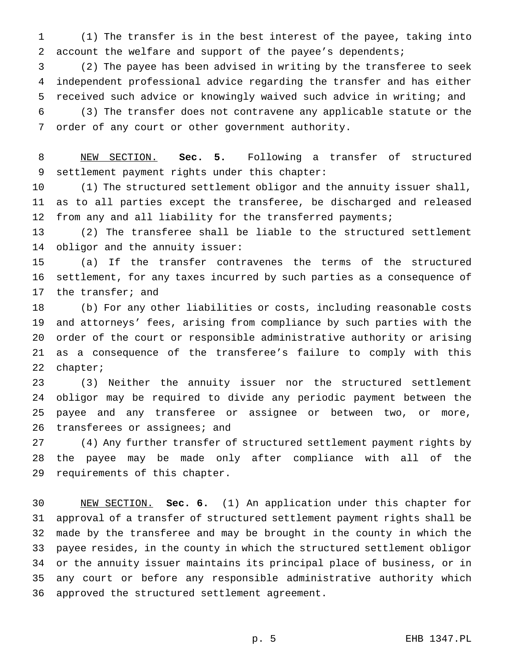(1) The transfer is in the best interest of the payee, taking into account the welfare and support of the payee's dependents;

 (2) The payee has been advised in writing by the transferee to seek independent professional advice regarding the transfer and has either received such advice or knowingly waived such advice in writing; and

 (3) The transfer does not contravene any applicable statute or the order of any court or other government authority.

 NEW SECTION. **Sec. 5.** Following a transfer of structured settlement payment rights under this chapter:

 (1) The structured settlement obligor and the annuity issuer shall, as to all parties except the transferee, be discharged and released from any and all liability for the transferred payments;

 (2) The transferee shall be liable to the structured settlement obligor and the annuity issuer:

 (a) If the transfer contravenes the terms of the structured settlement, for any taxes incurred by such parties as a consequence of the transfer; and

 (b) For any other liabilities or costs, including reasonable costs and attorneys' fees, arising from compliance by such parties with the order of the court or responsible administrative authority or arising as a consequence of the transferee's failure to comply with this chapter;

 (3) Neither the annuity issuer nor the structured settlement obligor may be required to divide any periodic payment between the payee and any transferee or assignee or between two, or more, 26 transferees or assignees; and

 (4) Any further transfer of structured settlement payment rights by the payee may be made only after compliance with all of the requirements of this chapter.

 NEW SECTION. **Sec. 6.** (1) An application under this chapter for approval of a transfer of structured settlement payment rights shall be made by the transferee and may be brought in the county in which the payee resides, in the county in which the structured settlement obligor or the annuity issuer maintains its principal place of business, or in any court or before any responsible administrative authority which approved the structured settlement agreement.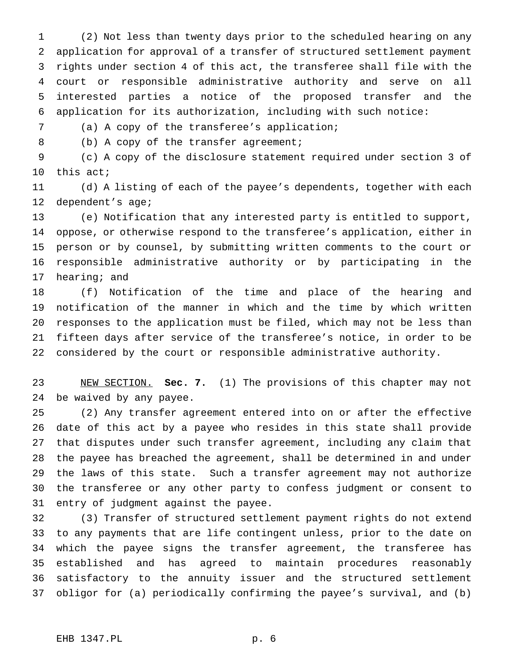(2) Not less than twenty days prior to the scheduled hearing on any application for approval of a transfer of structured settlement payment rights under section 4 of this act, the transferee shall file with the court or responsible administrative authority and serve on all interested parties a notice of the proposed transfer and the application for its authorization, including with such notice:

(a) A copy of the transferee's application;

8 (b) A copy of the transfer agreement;

 (c) A copy of the disclosure statement required under section 3 of this act;

 (d) A listing of each of the payee's dependents, together with each 12 dependent's age;

 (e) Notification that any interested party is entitled to support, oppose, or otherwise respond to the transferee's application, either in person or by counsel, by submitting written comments to the court or responsible administrative authority or by participating in the hearing; and

 (f) Notification of the time and place of the hearing and notification of the manner in which and the time by which written responses to the application must be filed, which may not be less than fifteen days after service of the transferee's notice, in order to be considered by the court or responsible administrative authority.

 NEW SECTION. **Sec. 7.** (1) The provisions of this chapter may not be waived by any payee.

 (2) Any transfer agreement entered into on or after the effective date of this act by a payee who resides in this state shall provide that disputes under such transfer agreement, including any claim that the payee has breached the agreement, shall be determined in and under the laws of this state. Such a transfer agreement may not authorize the transferee or any other party to confess judgment or consent to entry of judgment against the payee.

 (3) Transfer of structured settlement payment rights do not extend to any payments that are life contingent unless, prior to the date on which the payee signs the transfer agreement, the transferee has established and has agreed to maintain procedures reasonably satisfactory to the annuity issuer and the structured settlement obligor for (a) periodically confirming the payee's survival, and (b)